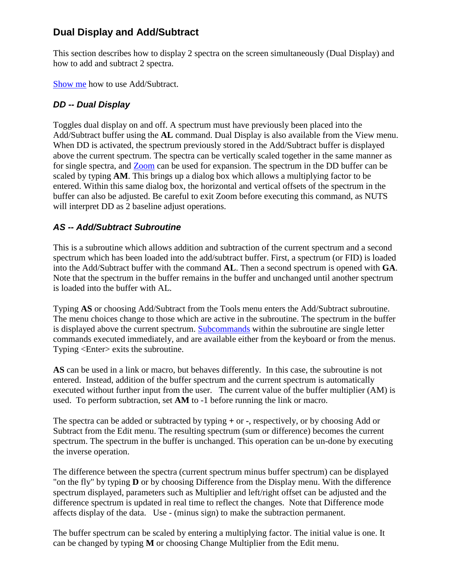# **Dual Display and Add/Subtract**

This section describes how to display 2 spectra on the screen simultaneously (Dual Display) and how to add and subtract 2 spectra.

[Show me](mk:@MSITStore:C:/Nuts/nutshtml.chm::/as_show.html) how to use Add/Subtract.

## *DD -- Dual Display*

Toggles dual display on and off. A spectrum must have previously been placed into the Add/Subtract buffer using the **AL** command. Dual Display is also available from the View menu. When DD is activated, the spectrum previously stored in the Add/Subtract buffer is displayed above the current spectrum. The spectra can be vertically scaled together in the same manner as for single spectra, and **Zoom** can be used for expansion. The spectrum in the DD buffer can be scaled by typing **AM**. This brings up a dialog box which allows a multiplying factor to be entered. Within this same dialog box, the horizontal and vertical offsets of the spectrum in the buffer can also be adjusted. Be careful to exit Zoom before executing this command, as NUTS will interpret DD as 2 baseline adjust operations.

## *AS -- Add/Subtract Subroutine*

This is a subroutine which allows addition and subtraction of the current spectrum and a second spectrum which has been loaded into the add/subtract buffer. First, a spectrum (or FID) is loaded into the Add/Subtract buffer with the command **AL**. Then a second spectrum is opened with **GA**. Note that the spectrum in the buffer remains in the buffer and unchanged until another spectrum is loaded into the buffer with AL.

Typing **AS** or choosing Add/Subtract from the Tools menu enters the Add/Subtract subroutine. The menu choices change to those which are active in the subroutine. The spectrum in the buffer is displayed above the current spectrum. [Subcommands](mk:@MSITStore:C:/Nuts/nutshtml.chm::/as.html#sub) within the subroutine are single letter commands executed immediately, and are available either from the keyboard or from the menus. Typing <Enter> exits the subroutine.

**AS** can be used in a link or macro, but behaves differently. In this case, the subroutine is not entered. Instead, addition of the buffer spectrum and the current spectrum is automatically executed without further input from the user. The current value of the buffer multiplier (AM) is used. To perform subtraction, set **AM** to -1 before running the link or macro.

The spectra can be added or subtracted by typing **+** or **-**, respectively, or by choosing Add or Subtract from the Edit menu. The resulting spectrum (sum or difference) becomes the current spectrum. The spectrum in the buffer is unchanged. This operation can be un-done by executing the inverse operation.

The difference between the spectra (current spectrum minus buffer spectrum) can be displayed "on the fly" by typing **D** or by choosing Difference from the Display menu. With the difference spectrum displayed, parameters such as Multiplier and left/right offset can be adjusted and the difference spectrum is updated in real time to reflect the changes. Note that Difference mode affects display of the data. Use - (minus sign) to make the subtraction permanent.

The buffer spectrum can be scaled by entering a multiplying factor. The initial value is one. It can be changed by typing **M** or choosing Change Multiplier from the Edit menu.